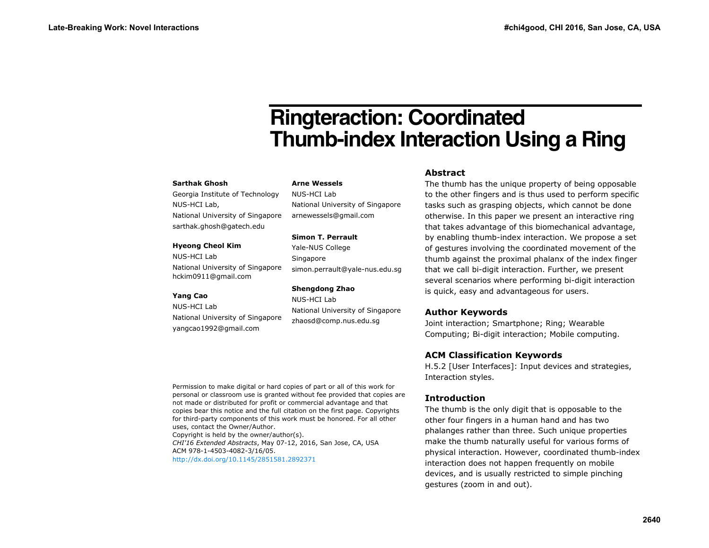# **Ringteraction: Coordinated Thumb-index Interaction Using a Ring**

#### **Sarthak Ghosh**

Georgia Institute of Technology NUS-HCI Lab, National University of Singapore sarthak.ghosh@gatech.edu

#### **Hyeong Cheol Kim**

NUS-HCI Lab National University of Singapore hckim0911@gmail.com

#### **Yang Cao**

NUS-HCI Lab National University of Singapore yangcao1992@gmail.com

**Arne Wessels** 

NUS-HCI Lab National University of Singapore arnewessels@gmail.com

#### **Simon T. Perrault**

Yale-NUS College Singapore simon.perrault@yale-nus.edu.sg

## **Shengdong Zhao**

NUS-HCI Lab National University of Singapore zhaosd@comp.nus.edu.sg

## **Abstract**

The thumb has the unique property of being opposable to the other fingers and is thus used to perform specific tasks such as grasping objects, which cannot be done otherwise. In this paper we present an interactive ring that takes advantage of this biomechanical advantage, by enabling thumb-index interaction. We propose a set of gestures involving the coordinated movement of the thumb against the proximal phalanx of the index finger that we call bi-digit interaction. Further, we present several scenarios where performing bi-digit interaction is quick, easy and advantageous for users.

## **Author Keywords**

Joint interaction; Smartphone; Ring; Wearable Computing; Bi-digit interaction; Mobile computing.

## **ACM Classification Keywords**

H.5.2 [User Interfaces]: Input devices and strategies, Interaction styles.

## **Introduction**

The thumb is the only digit that is opposable to the other four fingers in a human hand and has two phalanges rather than three. Such unique properties make the thumb naturally useful for various forms of physical interaction. However, coordinated thumb-index interaction does not happen frequently on mobile devices, and is usually restricted to simple pinching gestures (zoom in and out).

Permission to make digital or hard copies of part or all of this work for personal or classroom use is granted without fee provided that copies are not made or distributed for profit or commercial advantage and that copies bear this notice and the full citation on the first page. Copyrights for third-party components of this work must be honored. For all other uses, contact the Owner/Author.

Copyright is held by the owner/author(s). *CHI'16 Extended Abstracts*, May 07-12, 2016, San Jose, CA, USA ACM 978-1-4503-4082-3/16/05. http://dx.doi.org/10.1145/2851581.2892371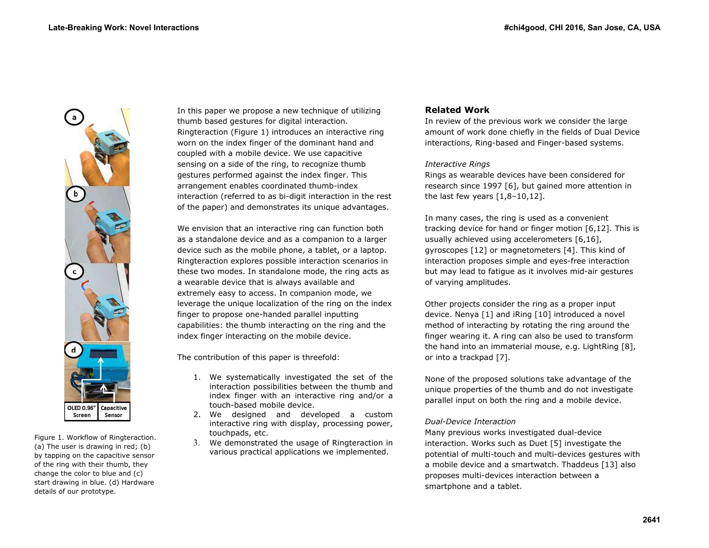

Figure 1. Workflow of Ringteraction. (a) The user is drawing in red; (b) by tapping on the capacitive sensor of the ring with their thumb, they change the color to blue and (c) start drawing in blue. (d) Hardware details of our prototype.

In this paper we propose a new technique of utilizing thumb based gestures for digital interaction. Ringteraction (Figure 1) introduces an interactive ring worn on the index finger of the dominant hand and coupled with a mobile device. We use capacitive sensing on a side of the ring, to recognize thumb gestures performed against the index finger. This arrangement enables coordinated thumb-index interaction (referred to as bi-digit interaction in the rest of the paper) and demonstrates its unique advantages.

We envision that an interactive ring can function both as a standalone device and as a companion to a larger device such as the mobile phone, a tablet, or a laptop. Ringteraction explores possible interaction scenarios in these two modes. In standalone mode, the ring acts as a wearable device that is always available and extremely easy to access. In companion mode, we leverage the unique localization of the ring on the index finger to propose one-handed parallel inputting capabilities: the thumb interacting on the ring and the index finger interacting on the mobile device.

The contribution of this paper is threefold:

- 1. We systematically investigated the set of the interaction possibilities between the thumb and index finger with an interactive ring and/or a touch-based mobile device.
- 2. We designed and developed a custom interactive ring with display, processing power, touchpads, etc.
- 3. We demonstrated the usage of Ringteraction in various practical applications we implemented.

# **Related Work**

In review of the previous work we consider the large amount of work done chiefly in the fields of Dual Device interactions, Ring-based and Finger-based systems.

## *Interactive Rings*

Rings as wearable devices have been considered for research since 1997 [6], but gained more attention in the last few years  $[1,8-10,12]$ .

In many cases, the ring is used as a convenient tracking device for hand or finger motion [6,12]. This is usually achieved using accelerometers [6,16], gyroscopes [12] or magnetometers [4]. This kind of interaction proposes simple and eyes-free interaction but may lead to fatigue as it involves mid-air gestures of varying amplitudes.

Other projects consider the ring as a proper input device. Nenya [1] and iRing [10] introduced a novel method of interacting by rotating the ring around the finger wearing it. A ring can also be used to transform the hand into an immaterial mouse, e.g. LightRing [8], or into a trackpad [7].

None of the proposed solutions take advantage of the unique properties of the thumb and do not investigate parallel input on both the ring and a mobile device.

## *Dual-Device Interaction*

Many previous works investigated dual-device interaction. Works such as Duet [5] investigate the potential of multi-touch and multi-devices gestures with a mobile device and a smartwatch. Thaddeus [13] also proposes multi-devices interaction between a smartphone and a tablet.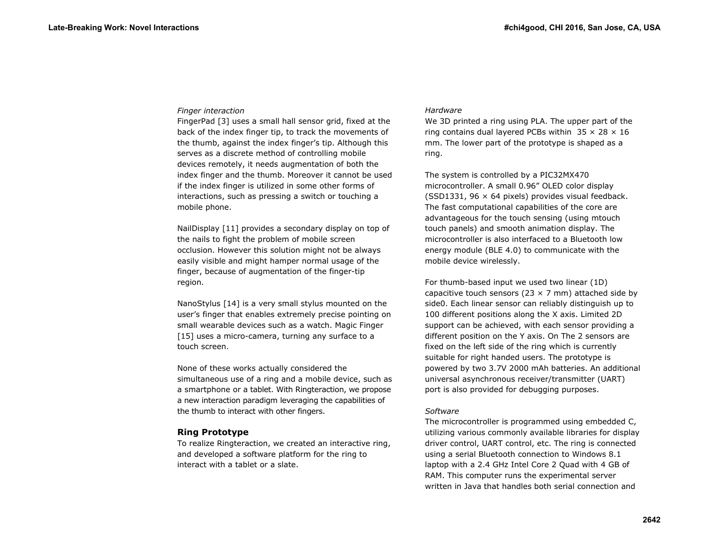## *Finger interaction*

FingerPad [3] uses a small hall sensor grid, fixed at the back of the index finger tip, to track the movements of the thumb, against the index finger's tip. Although this serves as a discrete method of controlling mobile devices remotely, it needs augmentation of both the index finger and the thumb. Moreover it cannot be used if the index finger is utilized in some other forms of interactions, such as pressing a switch or touching a mobile phone.

NailDisplay [11] provides a secondary display on top of the nails to fight the problem of mobile screen occlusion. However this solution might not be always easily visible and might hamper normal usage of the finger, because of augmentation of the finger-tip region.

NanoStylus [14] is a very small stylus mounted on the user's finger that enables extremely precise pointing on small wearable devices such as a watch. Magic Finger [15] uses a micro-camera, turning any surface to a touch screen.

None of these works actually considered the simultaneous use of a ring and a mobile device, such as a smartphone or a tablet. With Ringteraction, we propose a new interaction paradigm leveraging the capabilities of the thumb to interact with other fingers.

## **Ring Prototype**

To realize Ringteraction, we created an interactive ring, and developed a software platform for the ring to interact with a tablet or a slate.

## *Hardware*

We 3D printed a ring using PLA. The upper part of the ring contains dual layered PCBs within  $35 \times 28 \times 16$ mm. The lower part of the prototype is shaped as a ring.

The system is controlled by a PIC32MX470 microcontroller. A small 0.96" OLED color display (SSD1331, 96  $\times$  64 pixels) provides visual feedback. The fast computational capabilities of the core are advantageous for the touch sensing (using mtouch touch panels) and smooth animation display. The microcontroller is also interfaced to a Bluetooth low energy module (BLE 4.0) to communicate with the mobile device wirelessly.

For thumb-based input we used two linear (1D) capacitive touch sensors (23  $\times$  7 mm) attached side by side0. Each linear sensor can reliably distinguish up to 100 different positions along the X axis. Limited 2D support can be achieved, with each sensor providing a different position on the Y axis. On The 2 sensors are fixed on the left side of the ring which is currently suitable for right handed users. The prototype is powered by two 3.7V 2000 mAh batteries. An additional universal asynchronous receiver/transmitter (UART) port is also provided for debugging purposes.

## *Software*

The microcontroller is programmed using embedded C, utilizing various commonly available libraries for display driver control, UART control, etc. The ring is connected using a serial Bluetooth connection to Windows 8.1 laptop with a 2.4 GHz Intel Core 2 Quad with 4 GB of RAM. This computer runs the experimental server written in Java that handles both serial connection and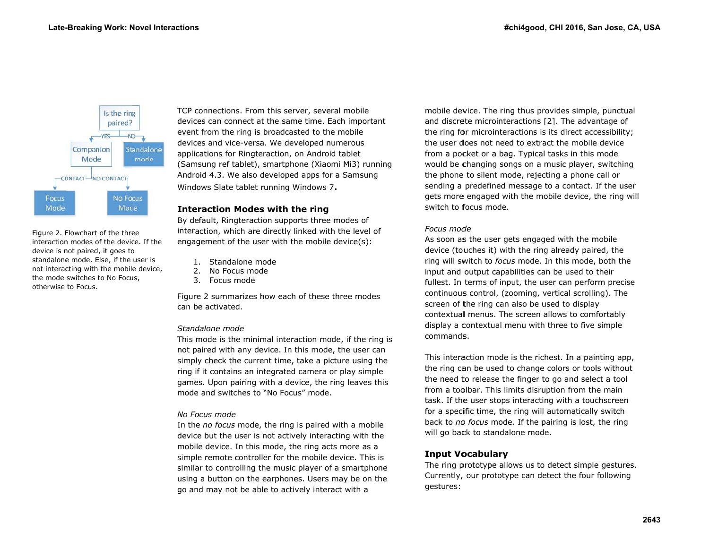

Figure 2. Flowchart of the three interaction modes of the device. If the device is n not paired, it goes to device is not paired, it goes to<br>standalone mode. Else, if the user is not interaccting with the mobil e device, the mode switches to No Focus, otherwise to Focus.

TCP connections. From this server, several mobile devices can connect at the same time. Each important event from the ring is broadcasted to the mobile device es and vice-versa . We developed n umerous applications for Ringteraction, on Android tablet (Samsung ref tablet), smartphone (Xiaomi Mi3) running Android 4.3. We also developed apps for a Samsung Windows Slate tablet running Windows 7.

## **Interraction Modeswith the ring**

By default, Ringteraction supports three modes of interaction, which are directly linked with the level of engagement of the user with the mobile device(s):

- 1. Standalone mode
- 2. No Focus mode
- 3. Focus mode

2. No Focus mode<br>3. Focus mode<br>Figure 2 summarizes how each of these three modes can be activated.

## *Standdalone mode*

This mode is the minimal interaction mode, if the ring is not paired with any device. In this mode, the user can simply check the current time, take a picture using the ring if it contains an integrated camera or play simple games. Upon pairing with a device, the ring leaves this mode and switches to "No Focus" mode.

## *No Foocus mode*

In the *no focus* mode, the ring is paired with a mobile device but the user is not actively interacting with the mobile device. In this mode, the ring acts more as a simple remote controller for the mobile device. This is similar to controlling the music player of a smartphone using a button on the e earphones. Users may be on the go and may not be able to actively interact with a

mobile device. The ring thus provides simple, punctual and discrete microinteractions [2]. The advantage of the ring for microinteractions is its direct accessibility; the user does not need to extract the mobile device from a pocket or a bag. Typical tasks in this mode would be c changing songs on n a music player, switching the phone to silent mode, rejecting a phone call or sending a predefined message to a contact. If the user gets more engaged with the mobile device, the ring will switch to **f**ocus mode.

## *Focus modde*

As soon as the user gets engaged with the mobile device (touches it) with the ring already paired, the ring will switch to *focus* mode. In this mode, both the input and output capabilities can be used to their fullest. In terms of input, the user can perform precise continuous control, (zooming, vertical scrolling). The screen of t the ring can also be used to displa y contextual menus. The screen allows to comfortably display a contextual menu with three to five simple command**s**.

This interaction mode is the richest. In a painting app, the ring can be used to change colors or tools without the need to release the finger to go and select a tool from a toolbar. This limits disruption from the main task. If the user stops interacting with a touchscreen for a specific time, the ring will automatically switch back to no focus mode. If the pairing is lost, the ring will go back to standalone mode.

# **Input V o ocabulary**

The ring prototype allows us to detect simple gestures. Currently, our prototype ca n detect the four following gestures: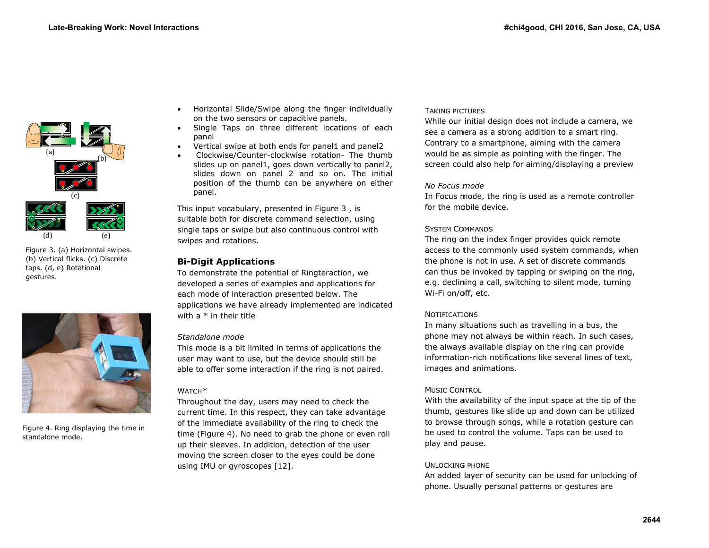

Figure 3. (a) ) Horizontal swipes. (b) Vertical flicks. (c) Discrete taps. (d, e) Rotational gestures.



Figure 4. Ring displaying the time in standalone mode.

- Horizontal Slide/Swipe along the finger individually on the two sensors or capacitive panels.
- . • Single Taps on three different locations of each pa anel
- . • Vertical swipe at both ends for panel1 and panel2
- . • Clockwise/Counter-clockwise rotation- The thumb sl ides up on panel1 1, goes down vert tically to panel2, slides down on p panel 2 and so on. The initial position of the thumb can be anywhere on either pa anel.

This in nput vocabulary, presented in Figu re 3 , is suitable both for discrete command selection, using single taps or swipe but also continuous control with swipe s and rotations.

# **Bi-Diigit Application ns**

To demonstrate the potential of Ringteraction, we developed a series of examples and applications for each mode of interaction presented below. The applications we have already implemented are indicated with a  $^\ast$  in their title

## *Standdalone mode*

This mode is a bit limited in terms of applications the user may want to use, but the device should still be able to offer some interaction if the ring is not paired.

## WATCHH*\**

.

Throughout the day, users may need to check the current time. In this respect, they can take advantage of the immediate availability of the ring to check the time (Figure 4). No need to grab the phone or even roll up their sleeves. In addition, detection of the user moving the screen closer to the eyes could be done using IMU or gyroscopes [12].

## Taking pictures

While our initial design does s not include a ca mera, we see a camera as a strong addition to a smart ring. Contrary to a smartphone, aiming with the camera would be as simple as pointing with the finger. The screen could also help for aiming/displaying a preview

## *No Focus mmode*

In Focus mode, the ring is used as a remote controller for the mobile device.

## SYSTEM COMMANDS

The ring on the index finger provides quick remote access to the commonly used system commands, when the phone is not in use. A set of discrete commands can thus be invoked by tapping or swiping on the ring, e.g. declining a call, switching to silent mode, turning Wi-Fi on/off, etc.

## NOTIFICATIONS

In many s situations such as travelling in a bu s, the phone may not always be within reach. In such cases, the always available display on the ring can provide information-rich notifications like several lines of text, images and animations.

## Music Control

With the availability of the input space at the tip of the thumb, gestures like slide up and down can be utilized to browse through songs, while a rotation gesture can be used to control the volume. Taps can be used to play and p pause.

# Unlocking phone

An added layer of security can be used for unlocking of phone. Usually personal patterns or gestures are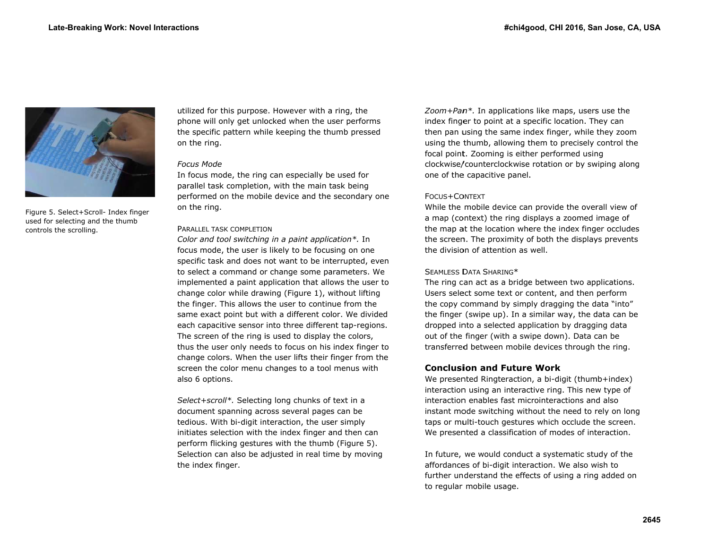

Figure 5. Se elect+Scroll- Index f inger used for selecting and the thumb controls the scrolling.

utilized for this purpose. However with a ring, the phone will only get unlocked when the user performs the sp pecific pattern wh ile keeping the th umb pressed on the ring.

#### *Focuss Mode*

In focus mode, the ring can especially be used for parallel task completion, with the main task being perfor rmed on the mobi le device and the secondary one on the ring.

#### PARALLEL TASK COMPLETION

*Color and tool switching in a paint application\*.* In focus mode, the user is likely to be focusing on one specific task and does not want to be interrupted, even to select a command or change some parameters. We implemented a paint application that allows the user to change color while drawing (Figure 1), without lifting the finger. This allows the user to continue from the same exact point but with a different color. We divided each capacitive sensor into three different tap-regions. The screen of the ring is used to display the colors, thus the user only needs to focus on his index finger to change colors. When the user lifts their finger from the screen the color menu changes to a tool menus with also 6 options.

Select+scroll\*. Selecting long chunks of text in a document spanning across several pages can be tedious. With bi-digit interaction, the user simply initiates selection with the index finger and then can perform flicking gestures with the thumb (Figure 5). Selection can also be adjusted in real time by moving the index finger.

Zoom+Pan<sup>\*</sup>. In applications like maps, users use the index finger to point at a specific location. They can then pan u using the same in dex finger, while they zoom using the thumb, allowing them to precisely control the focal point. Zooming is either performed using clockwise/ /counterclockwise rotation or by sw wiping along one of the capacitive panel.

## FOCUS+COONTEXT

one or the expactave panel.<br>Focus+Context<br>While the mobile device can provide the overall view of a map (context) the ring displays a zoomed image of the map at the location where the index finger occludes the screen. The proximity of both the displays prevents the division of attention as well.

## $\sf S$ eamless  $\sf D$ ata  $\sf S$ haring $^*$

The ring can act as a bridge between two applications. Users select some text or content, and then perform the copy command by simply dragging the data "into" the finger (swipe up). In a similar way, the data can be dropped into a selected application by dragging data out of the finger (with a sw ipe down). Data c can be transferred between mobile devices through the ring.

## **Conclusiion and Futuree Work**

We presented Ringteraction, a bi-digit (thumb+index) interaction using an interactive ring. This new type of interaction enables fast microinteractions and also instant mode switching without the need to rely on long taps or multi-touch gestures which occlude the screen. We presented a classification of modes of interaction.

In future, we would conduct a systematic study of the affordances of bi-digit interaction. We also wish to further understand the effe cts of using a ring g added on to regular mobile usage.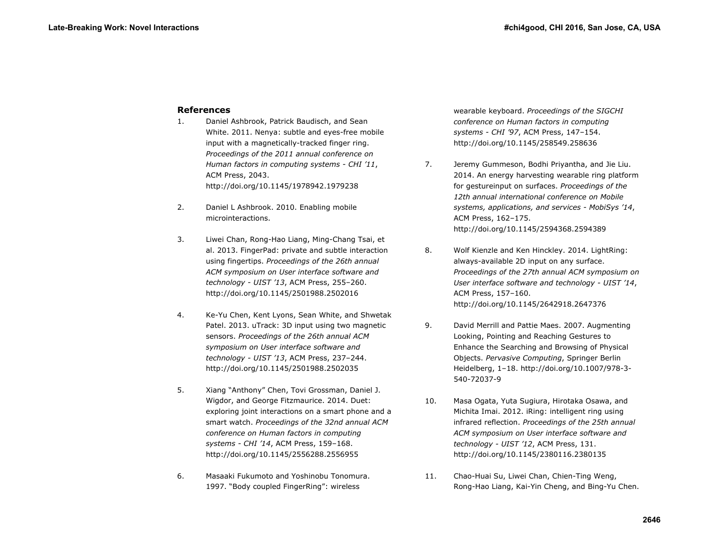# **References**

- 1. Daniel Ashbrook, Patrick Baudisch, and Sean White. 2011. Nenya: subtle and eyes-free mobile input with a magnetically-tracked finger ring. *Proceedings of the 2011 annual conference on Human factors in computing systems - CHI '11*, ACM Press, 2043. http://doi.org/10.1145/1978942.1979238
- 2. Daniel L Ashbrook. 2010. Enabling mobile microinteractions.
- 3. Liwei Chan, Rong-Hao Liang, Ming-Chang Tsai, et al. 2013. FingerPad: private and subtle interaction using fingertips. *Proceedings of the 26th annual ACM symposium on User interface software and technology - UIST '13*, ACM Press, 255–260. http://doi.org/10.1145/2501988.2502016
- 4. Ke-Yu Chen, Kent Lyons, Sean White, and Shwetak Patel. 2013. uTrack: 3D input using two magnetic sensors. *Proceedings of the 26th annual ACM symposium on User interface software and technology - UIST '13*, ACM Press, 237–244. http://doi.org/10.1145/2501988.2502035
- 5. Xiang "Anthony" Chen, Tovi Grossman, Daniel J. Wigdor, and George Fitzmaurice. 2014. Duet: exploring joint interactions on a smart phone and a smart watch. *Proceedings of the 32nd annual ACM conference on Human factors in computing systems - CHI '14*, ACM Press, 159–168. http://doi.org/10.1145/2556288.2556955
- 6. Masaaki Fukumoto and Yoshinobu Tonomura. 1997. "Body coupled FingerRing": wireless

wearable keyboard. *Proceedings of the SIGCHI conference on Human factors in computing systems - CHI '97*, ACM Press, 147–154. http://doi.org/10.1145/258549.258636

- 7. Jeremy Gummeson, Bodhi Priyantha, and Jie Liu. 2014. An energy harvesting wearable ring platform for gestureinput on surfaces. *Proceedings of the 12th annual international conference on Mobile systems, applications, and services - MobiSys '14*, ACM Press, 162–175. http://doi.org/10.1145/2594368.2594389
- 8. Wolf Kienzle and Ken Hinckley. 2014. LightRing: always-available 2D input on any surface. *Proceedings of the 27th annual ACM symposium on User interface software and technology - UIST '14*, ACM Press, 157–160. http://doi.org/10.1145/2642918.2647376
- 9. David Merrill and Pattie Maes. 2007. Augmenting Looking, Pointing and Reaching Gestures to Enhance the Searching and Browsing of Physical Objects. *Pervasive Computing*, Springer Berlin Heidelberg, 1–18. http://doi.org/10.1007/978-3- 540-72037-9
- 10. Masa Ogata, Yuta Sugiura, Hirotaka Osawa, and Michita Imai. 2012. iRing: intelligent ring using infrared reflection. *Proceedings of the 25th annual ACM symposium on User interface software and technology - UIST '12*, ACM Press, 131. http://doi.org/10.1145/2380116.2380135
- 11. Chao-Huai Su, Liwei Chan, Chien-Ting Weng, Rong-Hao Liang, Kai-Yin Cheng, and Bing-Yu Chen.